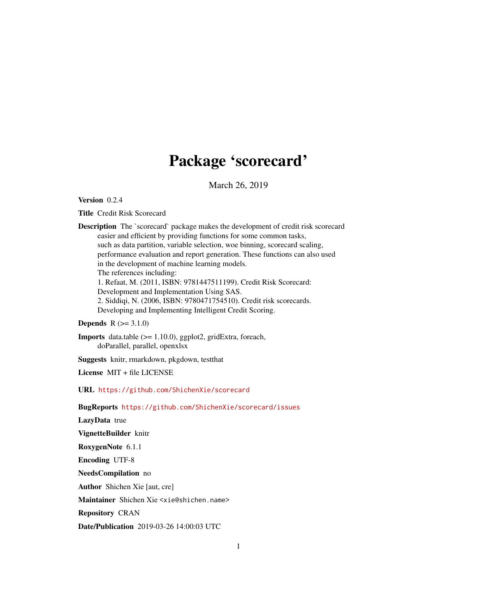## Package 'scorecard'

March 26, 2019

Version 0.2.4

Title Credit Risk Scorecard

Description The `scorecard` package makes the development of credit risk scorecard easier and efficient by providing functions for some common tasks, such as data partition, variable selection, woe binning, scorecard scaling, performance evaluation and report generation. These functions can also used in the development of machine learning models. The references including: 1. Refaat, M. (2011, ISBN: 9781447511199). Credit Risk Scorecard: Development and Implementation Using SAS. 2. Siddiqi, N. (2006, ISBN: 9780471754510). Credit risk scorecards. Developing and Implementing Intelligent Credit Scoring.

**Depends**  $R (= 3.1.0)$ 

Imports data.table (>= 1.10.0), ggplot2, gridExtra, foreach, doParallel, parallel, openxlsx

Suggests knitr, rmarkdown, pkgdown, testthat

License MIT + file LICENSE

URL <https://github.com/ShichenXie/scorecard>

BugReports <https://github.com/ShichenXie/scorecard/issues>

LazyData true

VignetteBuilder knitr

RoxygenNote 6.1.1

Encoding UTF-8

NeedsCompilation no

Author Shichen Xie [aut, cre]

Maintainer Shichen Xie <xie@shichen.name>

Repository CRAN

Date/Publication 2019-03-26 14:00:03 UTC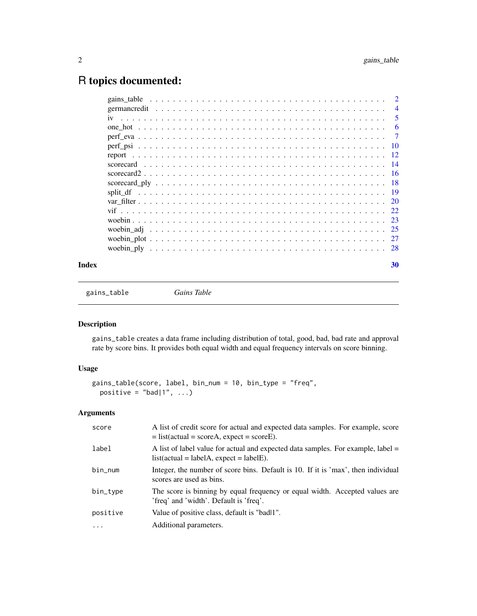## <span id="page-1-0"></span>R topics documented:

|  | $\mathcal{D}_{\mathcal{L}}$ |
|--|-----------------------------|
|  | $\overline{4}$              |
|  | 5                           |
|  | 6                           |
|  | 7                           |
|  | -10                         |
|  | -12                         |
|  | -14                         |
|  |                             |
|  | -18                         |
|  | 19                          |
|  |                             |
|  |                             |
|  |                             |
|  |                             |
|  |                             |
|  |                             |
|  |                             |

#### $\bf 30$  $\bf 30$

<span id="page-1-1"></span>gains\_table *Gains Table*

## Description

gains\_table creates a data frame including distribution of total, good, bad, bad rate and approval rate by score bins. It provides both equal width and equal frequency intervals on score binning.

## Usage

```
gains_table(score, label, bin_num = 10, bin_type = "freq",
 positive = "bad|1", ...)
```
## Arguments

| score    | A list of credit score for actual and expected data samples. For example, score<br>$=$ list(actual = scoreA, expect = scoreE).  |
|----------|---------------------------------------------------------------------------------------------------------------------------------|
| label    | A list of label value for actual and expected data samples. For example, label $=$<br>$list(actual = labelA, expect = labelE).$ |
| bin_num  | Integer, the number of score bins. Default is 10. If it is 'max', then individual<br>scores are used as bins.                   |
| bin_type | The score is binning by equal frequency or equal width. Accepted values are<br>'freq' and 'width'. Default is 'freq'.           |
| positive | Value of positive class, default is "badl1".                                                                                    |
| $\ddots$ | Additional parameters.                                                                                                          |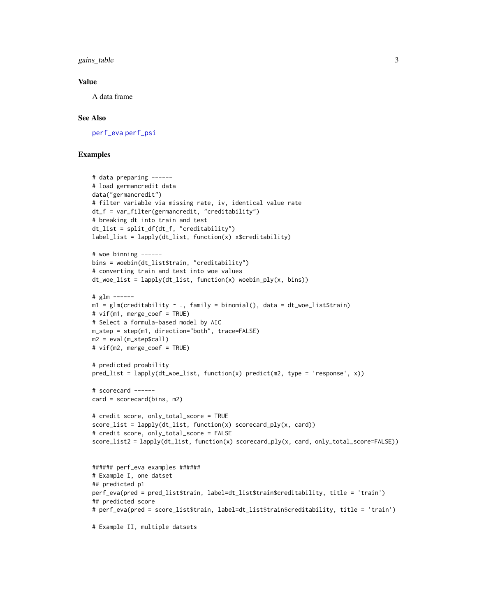<span id="page-2-0"></span>gains\_table 3

#### Value

A data frame

## See Also

[perf\\_eva](#page-6-1) [perf\\_psi](#page-9-1)

```
# data preparing ------
# load germancredit data
data("germancredit")
# filter variable via missing rate, iv, identical value rate
dt_f = var_filter(germancredit, "creditability")
# breaking dt into train and test
dt_list = split_df(dt_f, "creditability")
label_list = \text{lapply}(dt_list, function(x) x$creditability)# woe binning ------
bins = woebin(dt_list$train, "creditability")
# converting train and test into woe values
dt<sub>_woe_list</sub> = lapply(dt<sub>_list</sub>, function(x) woebin_ply(x, bins))
# glm ------
m1 = g1m(creditability \sim ., family = binomial(), data = dt_woe_list$train)# vif(m1, merge_coef = TRUE)
# Select a formula-based model by AIC
m_step = step(m1, direction="both", trace=FALSE)
m2 = eval(m_step$call)
# vif(m2, merge_coef = TRUE)
# predicted proability
pred\_list = \text{lapply}(dt\_wo\_list, function(x) predict(m2, type = 'response', x))# scorecard ------
card = scorecard(bins, m2)
# credit score, only_total_score = TRUE
score_list = \text{lapply}(dt_list, function(x) scored.py(x, card))# credit score, only_total_score = FALSE
score_list2 = lapply(dt_list, function(x) scorecard_ply(x, card, only_total_score=FALSE))
###### perf_eva examples ######
# Example I, one datset
## predicted p1
perf_eva(pred = pred_list$train, label=dt_list$train$creditability, title = 'train')
## predicted score
# perf_eva(pred = score_list$train, label=dt_list$train$creditability, title = 'train')
# Example II, multiple datsets
```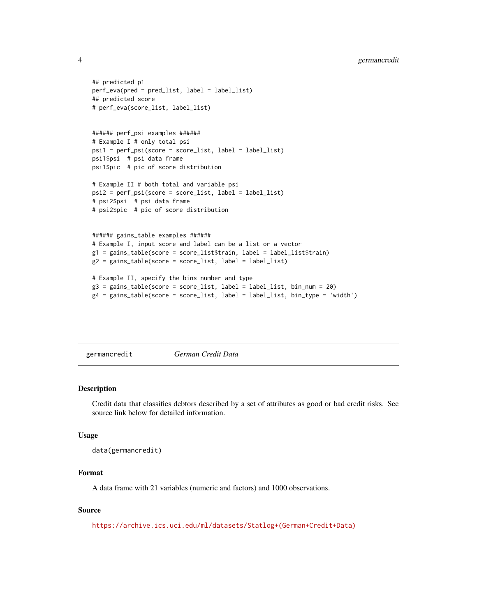```
## predicted p1
perf_eva(pred = pred_list, label = label_list)
## predicted score
# perf_eva(score_list, label_list)
###### perf_psi examples ######
# Example I # only total psi
psi1 = perf_psi(score = score_list, label = label_list)
psi1$psi # psi data frame
psi1$pic # pic of score distribution
# Example II # both total and variable psi
psi2 = perf_psi(score = score_list, label = label_list)
# psi2$psi # psi data frame
# psi2$pic # pic of score distribution
###### gains_table examples ######
# Example I, input score and label can be a list or a vector
g1 = gains_table(score = score_list$train, label = label_list$train)
g2 = gains_table(score = score_list, label = label_list)
# Example II, specify the bins number and type
g3 = gains_table(score = score_list, label = label_list, bin_num = 20)
g4 = gains_table(score = score_list, label = label_list, bin_type = 'width')
```
germancredit *German Credit Data*

#### Description

Credit data that classifies debtors described by a set of attributes as good or bad credit risks. See source link below for detailed information.

## Usage

```
data(germancredit)
```
#### Format

A data frame with 21 variables (numeric and factors) and 1000 observations.

#### Source

[https://archive.ics.uci.edu/ml/datasets/Statlog+\(German+Credit+Data\)](https://archive.ics.uci.edu/ml/datasets/Statlog+(German+Credit+Data))

<span id="page-3-0"></span>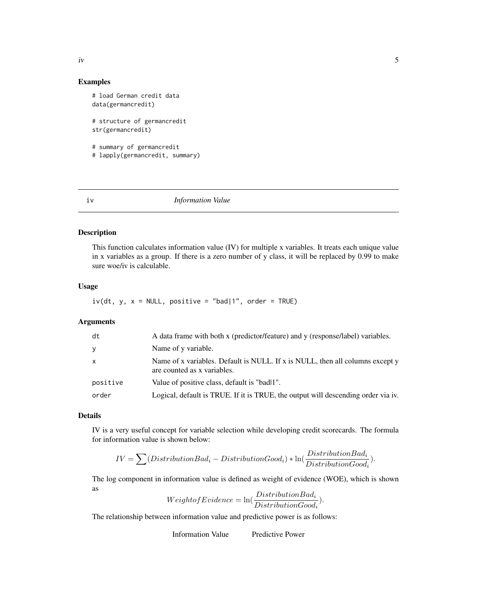#### Examples

```
# load German credit data
data(germancredit)
# structure of germancredit
str(germancredit)
# summary of germancredit
# lapply(germancredit, summary)
```
#### iv *Information Value*

## **Description**

This function calculates information value (IV) for multiple x variables. It treats each unique value in x variables as a group. If there is a zero number of y class, it will be replaced by 0.99 to make sure woe/iv is calculable.

## Usage

 $iv(dt, y, x = NULL, positive = "bad|1", order = TRUE)$ 

#### Arguments

| dt           | A data frame with both x (predictor/feature) and y (response/label) variables.                               |
|--------------|--------------------------------------------------------------------------------------------------------------|
| y            | Name of y variable.                                                                                          |
| $\mathsf{x}$ | Name of x variables. Default is NULL. If x is NULL, then all columns except y<br>are counted as x variables. |
| positive     | Value of positive class, default is "badl1".                                                                 |
| order        | Logical, default is TRUE. If it is TRUE, the output will descending order via iv.                            |

## Details

IV is a very useful concept for variable selection while developing credit scorecards. The formula for information value is shown below:

$$
IV = \sum (DistributionBad_i - DistributionGood_i) * \ln(\frac{DistributionBad_i}{DistributionGood_i}).
$$

The log component in information value is defined as weight of evidence (WOE), which is shown as

$$
Weight of Evidence = \ln(\frac{DistributionBad_i}{DistributionGood_i}).
$$

The relationship between information value and predictive power is as follows:

Information Value Predictive Power

<span id="page-4-0"></span> $\frac{1}{2}$  iv  $\frac{5}{2}$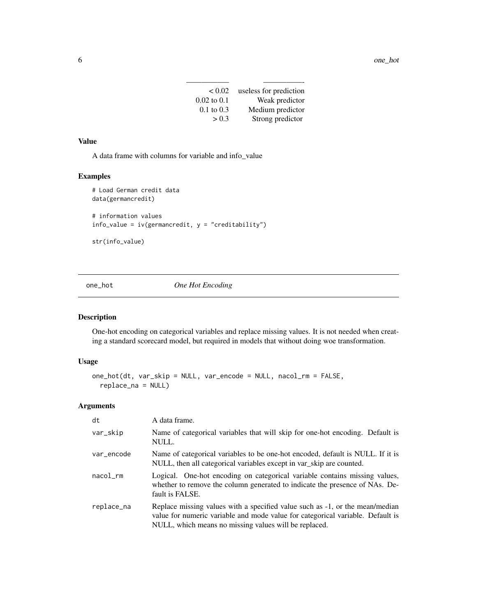| < 0.02                | useless for prediction |
|-----------------------|------------------------|
| $0.02$ to $0.1$       | Weak predictor         |
| $0.1 \text{ to } 0.3$ | Medium predictor       |
| > 0.3                 | Strong predictor       |

## <span id="page-5-0"></span>Value

A data frame with columns for variable and info\_value

## Examples

```
# Load German credit data
data(germancredit)
# information values
info_value = iv(germancredit, y = "creditability")str(info_value)
```
one\_hot *One Hot Encoding*

## Description

One-hot encoding on categorical variables and replace missing values. It is not needed when creating a standard scorecard model, but required in models that without doing woe transformation.

## Usage

```
one_hot(dt, var_skip = NULL, var_encode = NULL, nacol_rm = FALSE,
  replace_na = NULL)
```
## Arguments

| dt         | A data frame.                                                                                                                                                                                                           |
|------------|-------------------------------------------------------------------------------------------------------------------------------------------------------------------------------------------------------------------------|
| var_skip   | Name of categorical variables that will skip for one-hot encoding. Default is<br>NULL.                                                                                                                                  |
| var_encode | Name of categorical variables to be one-hot encoded, default is NULL. If it is<br>NULL, then all categorical variables except in var_skip are counted.                                                                  |
| nacol      | Logical. One-hot encoding on categorical variable contains missing values,<br>whether to remove the column generated to indicate the presence of NAs. De-<br>fault is FALSE.                                            |
| replace_na | Replace missing values with a specified value such as -1, or the mean/median<br>value for numeric variable and mode value for categorical variable. Default is<br>NULL, which means no missing values will be replaced. |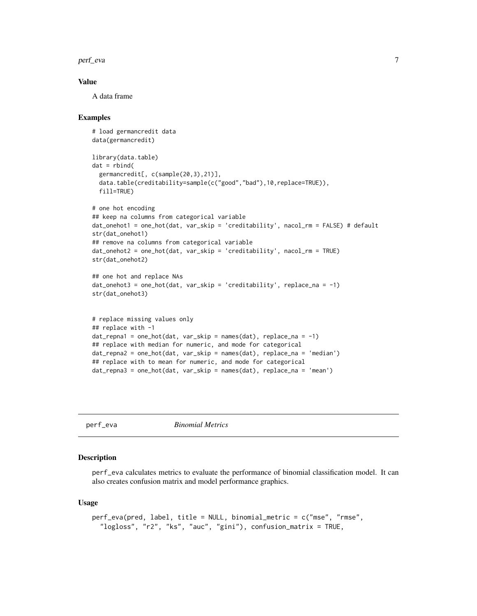<span id="page-6-0"></span>perf\_eva 7

## Value

A data frame

## Examples

```
# load germancredit data
data(germancredit)
library(data.table)
dat = rbind(germancredit[, c(sample(20,3),21)],
 data.table(creditability=sample(c("good","bad"),10,replace=TRUE)),
 fill=TRUE)
# one hot encoding
## keep na columns from categorical variable
dat_onehot1 = one_hot(dat, var_skip = 'creditability', nacol_rm = FALSE) # default
str(dat_onehot1)
## remove na columns from categorical variable
dat_onehot2 = one_hot(dat, var_skip = 'creditability', nacol_rm = TRUE)
str(dat_onehot2)
## one hot and replace NAs
dat\_onehot3 = one\_hot(data, var\_skip = 'creditability', replace\_na = -1)str(dat_onehot3)
# replace missing values only
## replace with -1
dat_{repna1} = one_{hot(data, var_{skip = name}(dat), replace_{na} = -1)## replace with median for numeric, and mode for categorical
dat_repna2 = one_hot(dat, var_skip = names(dat), replace_na = 'median')
## replace with to mean for numeric, and mode for categorical
dat_repna3 = one_hot(dat, var_skip = names(dat), replace_na = 'mean')
```
<span id="page-6-1"></span>perf\_eva *Binomial Metrics*

#### Description

perf\_eva calculates metrics to evaluate the performance of binomial classification model. It can also creates confusion matrix and model performance graphics.

#### Usage

```
perf_eva(pred, label, title = NULL, binomial_metric = c("mse", "rmse",
  "logloss", "r2", "ks", "auc", "gini"), confusion_matrix = TRUE,
```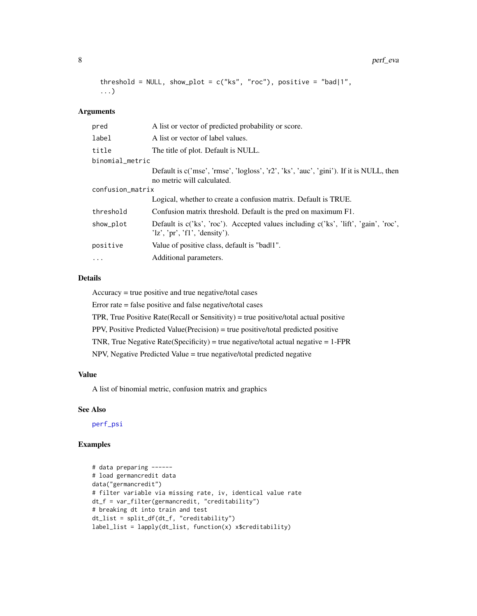```
threshold = NULL, show_plot = c("ks", "roc"), positive = "bad|1",...)
```
#### Arguments

| pred             | A list or vector of predicted probability or score.                                                                  |  |
|------------------|----------------------------------------------------------------------------------------------------------------------|--|
| label            | A list or vector of label values.                                                                                    |  |
| title            | The title of plot. Default is NULL.                                                                                  |  |
| binomial_metric  |                                                                                                                      |  |
|                  | Default is c('mse', 'rmse', 'logloss', 'r2', 'ks', 'auc', 'gini'). If it is NULL, then<br>no metric will calculated. |  |
| confusion_matrix |                                                                                                                      |  |
|                  | Logical, whether to create a confusion matrix. Default is TRUE.                                                      |  |
| threshold        | Confusion matrix threshold. Default is the pred on maximum F1.                                                       |  |
| show_plot        | Default is c('ks', 'roc'). Accepted values including c('ks', 'lift', 'gain', 'roc',<br>'lz', 'pr', 'fl', 'density'). |  |
| positive         | Value of positive class, default is "badl1".                                                                         |  |
| $\cdots$         | Additional parameters.                                                                                               |  |
|                  |                                                                                                                      |  |

## Details

Accuracy = true positive and true negative/total cases

Error rate = false positive and false negative/total cases

TPR, True Positive Rate(Recall or Sensitivity) = true positive/total actual positive

PPV, Positive Predicted Value(Precision) = true positive/total predicted positive

TNR, True Negative Rate(Specificity) = true negative/total actual negative = 1-FPR

NPV, Negative Predicted Value = true negative/total predicted negative

## Value

A list of binomial metric, confusion matrix and graphics

## See Also

[perf\\_psi](#page-9-1)

```
# data preparing ------
# load germancredit data
data("germancredit")
# filter variable via missing rate, iv, identical value rate
dt_f = var_filter(germancredit, "creditability")
# breaking dt into train and test
dt_list = split_df(dt_f, "creditability")
label_list = \text{lapply}(dt_list, function(x) x$creditability)
```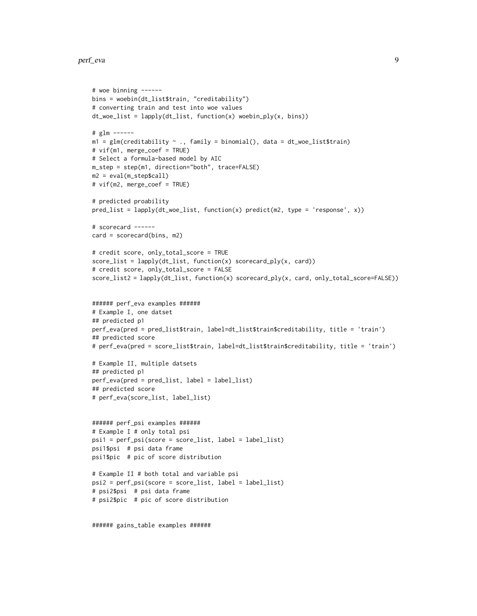#### perf\_eva 9

```
# woe binning ------
bins = woebin(dt_list$train, "creditability")
# converting train and test into woe values
dt_woe_list = lapply(dt_list, function(x) woebin_ply(x, bins))
# glm ------
m1 = glm(creditability ~ ., family = binomial(), data = dt_woe_list$train)# vif(m1, merge_coef = TRUE)
# Select a formula-based model by AIC
m_step = step(m1, direction="both", trace=FALSE)
m2 = eval(m_step$call)
# vif(m2, merge_coef = TRUE)
# predicted proability
pred_list = lapply(dt_woe_list, function(x) predict(m2, type = 'response', x))
# scorecard ------
card = scorecard(bins, m2)
# credit score, only_total_score = TRUE
score_list = lapply(dt_list, function(x) scorecard_ply(x, card))
# credit score, only_total_score = FALSE
score_list2 = lapply(dt_list, function(x) scorecard_ply(x, card, only_total_score=FALSE))
###### perf_eva examples ######
# Example I, one datset
## predicted p1
perf_eva(pred = pred_list$train, label=dt_list$train$creditability, title = 'train')
## predicted score
# perf_eva(pred = score_list$train, label=dt_list$train$creditability, title = 'train')
# Example II, multiple datsets
## predicted p1
perf_eva(pred = pred_list, label = label_list)
## predicted score
# perf_eva(score_list, label_list)
###### perf_psi examples ######
# Example I # only total psi
psi1 = perf_psi(score = score_list, label = label_list)
psi1$psi # psi data frame
psi1$pic # pic of score distribution
# Example II # both total and variable psi
psi2 = perf_psi(score = score_list, label = label_list)
# psi2$psi # psi data frame
# psi2$pic # pic of score distribution
```
###### gains\_table examples ######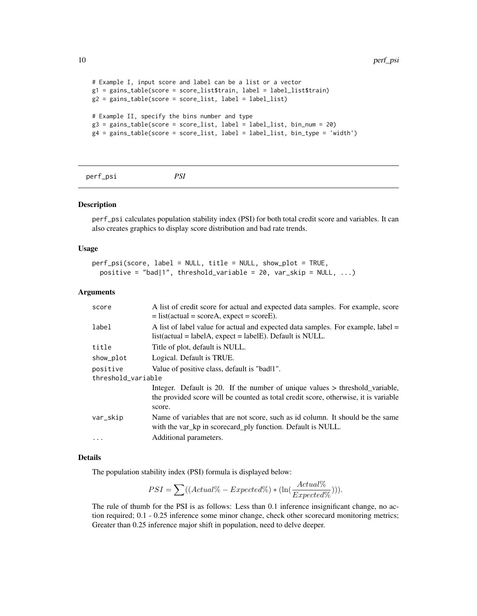```
# Example I, input score and label can be a list or a vector
g1 = gains_table(score = score_list$train, label = label_list$train)
g2 = gains_table(score = score_list, label = label_list)
# Example II, specify the bins number and type
g3 = gains_table(score = score_list, label = label_list, bin_num = 20)
g4 = gains_table(score = score_list, label = label_list, bin_type = 'width')
```
<span id="page-9-1"></span>

| perf_psi | PSI |
|----------|-----|
|          |     |

#### Description

perf\_psi calculates population stability index (PSI) for both total credit score and variables. It can also creates graphics to display score distribution and bad rate trends.

#### Usage

```
perf_psi(score, label = NULL, title = NULL, show_plot = TRUE,
  positive = "bad|1", threshold_variable = 20, var_skip = NULL, \ldots)
```
#### Arguments

| score              | A list of credit score for actual and expected data samples. For example, score<br>$=$ list(actual = scoreA, expect = scoreE).                                                |
|--------------------|-------------------------------------------------------------------------------------------------------------------------------------------------------------------------------|
| label              | A list of label value for actual and expected data samples. For example, label =<br>$list(actual = labelA, expect = labelE)$ . Default is NULL.                               |
| title              | Title of plot, default is NULL.                                                                                                                                               |
| show_plot          | Logical. Default is TRUE.                                                                                                                                                     |
| positive           | Value of positive class, default is "badl1".                                                                                                                                  |
| threshold_variable |                                                                                                                                                                               |
|                    | Integer. Default is 20. If the number of unique values > threshold_variable,<br>the provided score will be counted as total credit score, otherwise, it is variable<br>score. |
| var_skip           | Name of variables that are not score, such as id column. It should be the same<br>with the var_kp in scorecard_ply function. Default is NULL.                                 |
| .                  | Additional parameters.                                                                                                                                                        |

## Details

The population stability index (PSI) formula is displayed below:

$$
PSI = \sum ((Actual\% - Expected\%) * (\ln(\frac{Actual\%}{Expected\%)}))).
$$

The rule of thumb for the PSI is as follows: Less than 0.1 inference insignificant change, no action required; 0.1 - 0.25 inference some minor change, check other scorecard monitoring metrics; Greater than 0.25 inference major shift in population, need to delve deeper.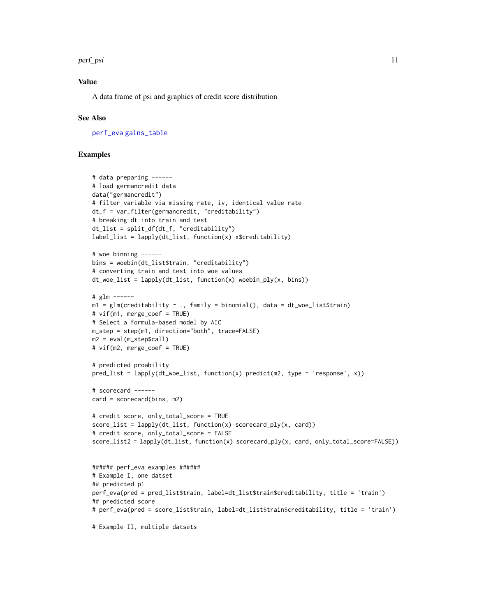#### <span id="page-10-0"></span>perf\_psi 11

## Value

A data frame of psi and graphics of credit score distribution

#### See Also

[perf\\_eva](#page-6-1) [gains\\_table](#page-1-1)

```
# data preparing ------
# load germancredit data
data("germancredit")
# filter variable via missing rate, iv, identical value rate
dt_f = var_filter(germancredit, "creditability")
# breaking dt into train and test
dt_list = split_df(dt_f, "creditability")
label_list = \text{lapply}(dt_list, function(x) x$creditability)# woe binning ------
bins = woebin(dt_list$train, "creditability")
# converting train and test into woe values
dt<sub>_woe_list</sub> = lapply(dt<sub>_list</sub>, function(x) woebin_ply(x, bins))
# glm ------
m1 = g1m(creditability \sim ., family = binomial(), data = dt_woe_list$train)# vif(m1, merge_coef = TRUE)
# Select a formula-based model by AIC
m_step = step(m1, direction="both", trace=FALSE)
m2 = eval(m_step$call)
# vif(m2, merge_coef = TRUE)
# predicted proability
pred\_list = \text{lapply}(dt\_wo\_list, function(x) predict(m2, type = 'response', x))# scorecard ------
card = scorecard(bins, m2)
# credit score, only_total_score = TRUE
score_list = \text{lapply}(dt_list, function(x) scored.py(x, card))# credit score, only_total_score = FALSE
score_list2 = lapply(dt_list, function(x) scorecard_ply(x, card, only_total_score=FALSE))
###### perf_eva examples ######
# Example I, one datset
## predicted p1
perf_eva(pred = pred_list$train, label=dt_list$train$creditability, title = 'train')
## predicted score
# perf_eva(pred = score_list$train, label=dt_list$train$creditability, title = 'train')
# Example II, multiple datsets
```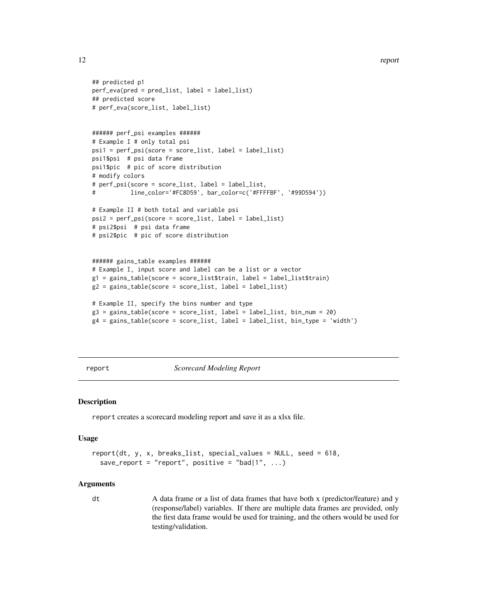```
## predicted p1
perf_eva(pred = pred_list, label = label_list)
## predicted score
# perf_eva(score_list, label_list)
###### perf_psi examples ######
# Example I # only total psi
psi1 = perf_psi(score = score_list, label = label_list)
psi1$psi # psi data frame
psi1$pic # pic of score distribution
# modify colors
# perf_psi(score = score_list, label = label_list,
           # line_color='#FC8D59', bar_color=c('#FFFFBF', '#99D594'))
# Example II # both total and variable psi
psi2 = perf_psi(score = score_list, label = label_list)
# psi2$psi # psi data frame
# psi2$pic # pic of score distribution
###### gains_table examples ######
# Example I, input score and label can be a list or a vector
g1 = gains_table(score = score_list$train, label = label_list$train)
g2 = gains_table(score = score_list, label = label_list)
# Example II, specify the bins number and type
g3 = gains_table(score = score_list, label = label_list, bin_num = 20)
g4 = gains_table(score = score_list, label = label_list, bin_type = 'width')
```
report *Scorecard Modeling Report*

#### Description

report creates a scorecard modeling report and save it as a xlsx file.

#### Usage

```
report(dt, y, x, breaks_list, special_values = NULL, seed = 618,
  save_report = "report", positive = "bad|1", ...)
```
#### Arguments

dt A data frame or a list of data frames that have both x (predictor/feature) and y (response/label) variables. If there are multiple data frames are provided, only the first data frame would be used for training, and the others would be used for testing/validation.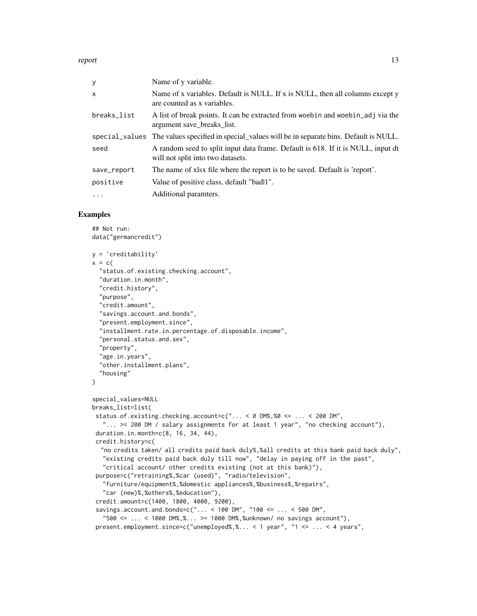report to the contract of the contract of the contract of the contract of the contract of the contract of the contract of the contract of the contract of the contract of the contract of the contract of the contract of the

| y            | Name of y variable.                                                                                                   |
|--------------|-----------------------------------------------------------------------------------------------------------------------|
| $\mathsf{x}$ | Name of x variables. Default is NULL. If x is NULL, then all columns except y<br>are counted as x variables.          |
| breaks_list  | A list of break points. It can be extracted from words and words and it in the<br>argument save breaks list.          |
|              | special values The values specified in special values will be in separate bins. Default is NULL.                      |
| seed         | A random seed to split input data frame. Default is 618. If it is NULL, input dt<br>will not split into two datasets. |
| save_report  | The name of xlsx file where the report is to be saved. Default is 'report'.                                           |
| positive     | Value of positive class, default "badl1".                                                                             |
| .            | Additional paramters.                                                                                                 |

```
## Not run:
data("germancredit")
y = 'creditability'
x = c("status.of.existing.checking.account",
  "duration.in.month",
  "credit.history",
  "purpose",
  "credit.amount",
  "savings.account.and.bonds",
  "present.employment.since",
  "installment.rate.in.percentage.of.disposable.income",
  "personal.status.and.sex",
  "property",
  "age.in.years",
  "other.installment.plans",
  "housing"
)
special_values=NULL
breaks_list=list(
 status.of.existing.checking.account=c("... < 0 DM%,%0 <= ... < 200 DM",
   "... >= 200 DM / salary assignments for at least 1 year", "no checking account"),
 duration.in.month=c(8, 16, 34, 44),
 credit.history=c(
  "no credits taken/ all credits paid back duly%,%all credits at this bank paid back duly",
   "existing credits paid back duly till now", "delay in paying off in the past",
   "critical account/ other credits existing (not at this bank)"),
 purpose=c("retraining%,%car (used)", "radio/television",
   "furniture/equipment%,%domestic appliances%,%business%,%repairs",
   "car (new)%,%others%,%education"),
 credit.amount=c(1400, 1800, 4000, 9200),
 savings.account.and.bonds=c("... < 100 DM", "100 <= ... < 500 DM",
   "500 \le ... \le 1000 \text{ DM\%}, \%... \ge 1000 \text{ DM\%}, \%unknown/ no savings account"),
 present.employment.since=c("unemployed%,%... < 1 year", "1 <= ... < 4 years",
```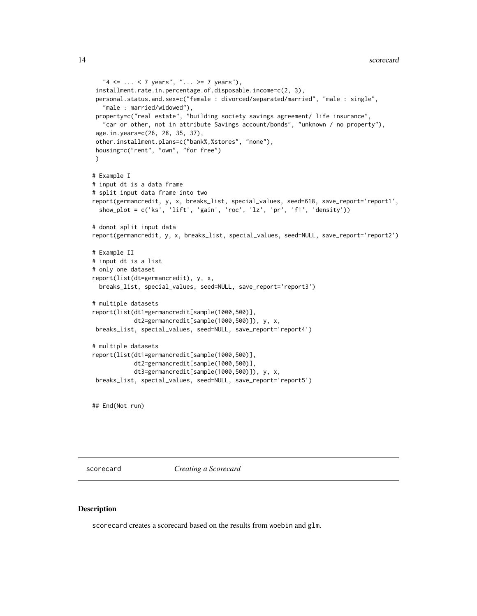```
"4 \leq ... \leq 7 years", "... >= 7 years"),
 installment.rate.in.percentage.of.disposable.income=c(2, 3),
 personal.status.and.sex=c("female : divorced/separated/married", "male : single",
   "male : married/widowed"),
 property=c("real estate", "building society savings agreement/ life insurance",
   "car or other, not in attribute Savings account/bonds", "unknown / no property"),
 age.in.years=c(26, 28, 35, 37),
 other.installment.plans=c("bank%,%stores", "none"),
 housing=c("rent", "own", "for free")
)
# Example I
# input dt is a data frame
# split input data frame into two
report(germancredit, y, x, breaks_list, special_values, seed=618, save_report='report1',
 show_plot = c('ks', 'lift', 'gain', 'roc', 'lz', 'pr', 'f1', 'density'))
# donot split input data
report(germancredit, y, x, breaks_list, special_values, seed=NULL, save_report='report2')
# Example II
# input dt is a list
# only one dataset
report(list(dt=germancredit), y, x,
 breaks_list, special_values, seed=NULL, save_report='report3')
# multiple datasets
report(list(dt1=germancredit[sample(1000,500)],
            dt2=germancredit[sample(1000,500)]), y, x,
breaks_list, special_values, seed=NULL, save_report='report4')
# multiple datasets
report(list(dt1=germancredit[sample(1000,500)],
            dt2=germancredit[sample(1000,500)],
            dt3=germancredit[sample(1000,500)]), y, x,
breaks_list, special_values, seed=NULL, save_report='report5')
```
## End(Not run)

<span id="page-13-1"></span>scorecard *Creating a Scorecard*

#### Description

scorecard creates a scorecard based on the results from woebin and glm.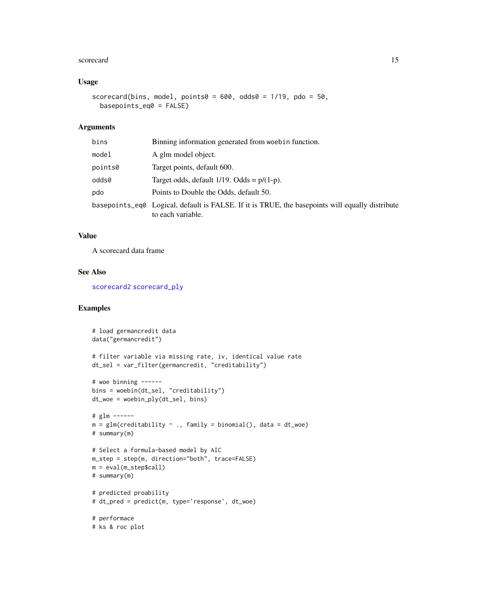#### <span id="page-14-0"></span>scorecard and the set of the set of the set of the set of the set of the set of the set of the set of the set of the set of the set of the set of the set of the set of the set of the set of the set of the set of the set of

## Usage

```
scorecard(bins, model, points0 = 600, odds0 = 1/19, pdo = 50,
 basepoints_eq0 = FALSE)
```
#### Arguments

| bins    | Binning information generated from woebin function.                                                                  |
|---------|----------------------------------------------------------------------------------------------------------------------|
| model   | A glm model object.                                                                                                  |
| points0 | Target points, default 600.                                                                                          |
| odds0   | Target odds, default $1/19$ . Odds = $p/(1-p)$ .                                                                     |
| pdo     | Points to Double the Odds, default 50.                                                                               |
|         | basepoints_eq0 Logical, default is FALSE. If it is TRUE, the basepoints will equally distribute<br>to each variable. |

## Value

A scorecard data frame

#### See Also

[scorecard2](#page-15-1) [scorecard\\_ply](#page-17-1)

```
# load germancredit data
data("germancredit")
# filter variable via missing rate, iv, identical value rate
dt_sel = var_filter(germancredit, "creditability")
# woe binning ------
bins = woebin(dt_sel, "creditability")
dt_woe = woebin_ply(dt_sel, bins)
# glm ------
m = glm(creditability \sim ., family = binomial(), data = dt_moe)# summary(m)
# Select a formula-based model by AIC
m_step = step(m, direction="both", trace=FALSE)
m = eval(m_step$call)
# summary(m)
# predicted proability
# dt_pred = predict(m, type='response', dt_woe)
# performace
# ks & roc plot
```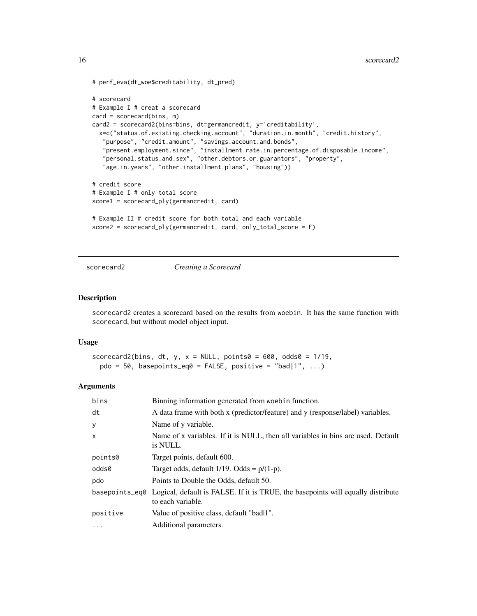```
# perf_eva(dt_woe$creditability, dt_pred)
# scorecard
# Example I # creat a scorecard
card = scorecard(bins, m)
card2 = scorecard2(bins=bins, dt=germancredit, y='creditability',
  x=c("status.of.existing.checking.account", "duration.in.month", "credit.history",
   "purpose", "credit.amount", "savings.account.and.bonds",
   "present.employment.since", "installment.rate.in.percentage.of.disposable.income",
   "personal.status.and.sex", "other.debtors.or.guarantors", "property",
   "age.in.years", "other.installment.plans", "housing"))
# credit score
# Example I # only total score
score1 = scorecard_ply(germancredit, card)
# Example II # credit score for both total and each variable
score2 = scorecard_ply(germancredit, card, only_total_score = F)
```
<span id="page-15-1"></span>

```
scorecard2 Creating a Scorecard
```
#### Description

scorecard2 creates a scorecard based on the results from woebin. It has the same function with scorecard, but without model object input.

#### Usage

```
scorecard2(bins, dt, y, x = NULL, points0 = 600, odds0 = 1/19,
 pdo = 50, basepoints_eq0 = FALSE, positive = "bad|1", ...)
```
#### Arguments

| bins         | Binning information generated from woebin function.                                                                 |
|--------------|---------------------------------------------------------------------------------------------------------------------|
| dt           | A data frame with both x (predictor/feature) and y (response/label) variables.                                      |
| y            | Name of y variable.                                                                                                 |
| $\mathsf{x}$ | Name of x variables. If it is NULL, then all variables in bins are used. Default<br>is NULL.                        |
| points0      | Target points, default 600.                                                                                         |
| odds0        | Target odds, default $1/19$ . Odds = $p/(1-p)$ .                                                                    |
| pdo          | Points to Double the Odds, default 50.                                                                              |
|              | basepoints eq Logical, default is FALSE. If it is TRUE, the basepoints will equally distribute<br>to each variable. |
| positive     | Value of positive class, default "badl1".                                                                           |
| $\cdots$     | Additional parameters.                                                                                              |

<span id="page-15-0"></span>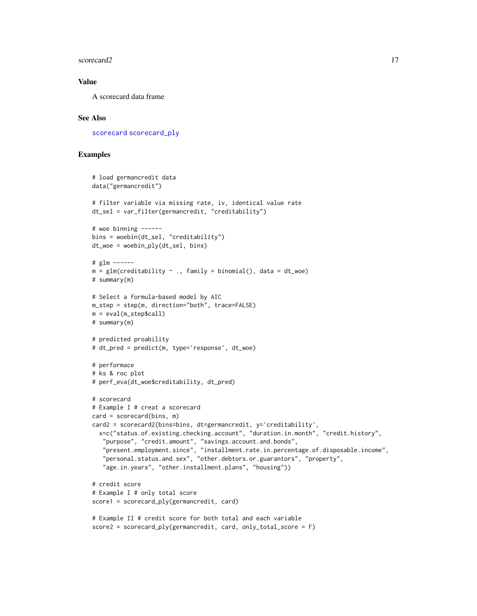#### <span id="page-16-0"></span>scorecard2 17

## Value

A scorecard data frame

## See Also

[scorecard](#page-13-1) [scorecard\\_ply](#page-17-1)

```
# load germancredit data
data("germancredit")
# filter variable via missing rate, iv, identical value rate
dt_sel = var_filter(germancredit, "creditability")
# woe binning ------
bins = woebin(dt_sel, "creditability")
dt_woe = woebin_ply(dt_sel, bins)
# glm ------
m = glm(creditability \sim ., family = binomial(), data = dt_woe)# summary(m)
# Select a formula-based model by AIC
m_step = step(m, direction="both", trace=FALSE)
m = eval(m_step$call)
# summary(m)
# predicted proability
# dt_pred = predict(m, type='response', dt_woe)
# performace
# ks & roc plot
# perf_eva(dt_woe$creditability, dt_pred)
# scorecard
# Example I # creat a scorecard
card = scorecard(bins, m)
card2 = scorecard2(bins=bins, dt=germancredit, y='creditability',
  x=c("status.of.existing.checking.account", "duration.in.month", "credit.history",
   "purpose", "credit.amount", "savings.account.and.bonds",
   "present.employment.since", "installment.rate.in.percentage.of.disposable.income",
   "personal.status.and.sex", "other.debtors.or.guarantors", "property",
   "age.in.years", "other.installment.plans", "housing"))
# credit score
# Example I # only total score
score1 = scorecard_ply(germancredit, card)
# Example II # credit score for both total and each variable
score2 = scorecard_ply(germancredit, card, only_total_score = F)
```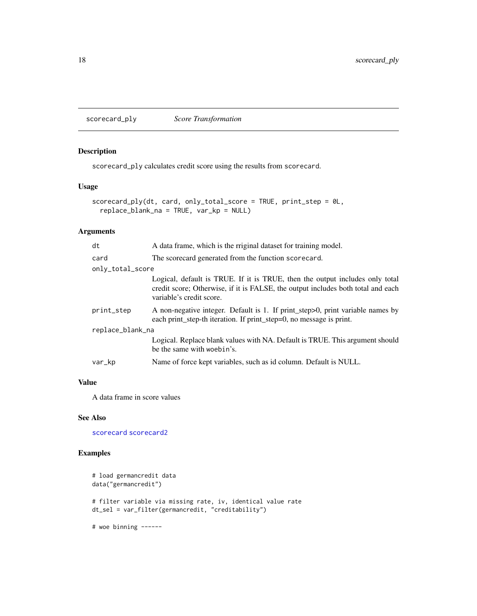<span id="page-17-1"></span><span id="page-17-0"></span>scorecard\_ply *Score Transformation*

## Description

scorecard\_ply calculates credit score using the results from scorecard.

## Usage

```
scorecard_ply(dt, card, only_total_score = TRUE, print_step = 0L,
 replace_blank_na = TRUE, var_kp = NULL)
```
## Arguments

| dt               | A data frame, which is the rriginal dataset for training model.                                                                                                                              |  |
|------------------|----------------------------------------------------------------------------------------------------------------------------------------------------------------------------------------------|--|
| card             | The scorecard generated from the function scorecard.                                                                                                                                         |  |
| only_total_score |                                                                                                                                                                                              |  |
|                  | Logical, default is TRUE. If it is TRUE, then the output includes only total<br>credit score; Otherwise, if it is FALSE, the output includes both total and each<br>variable's credit score. |  |
| print_step       | A non-negative integer. Default is 1. If print_step>0, print variable names by<br>each print_step-th iteration. If print_step=0, no message is print.                                        |  |
| replace_blank_na |                                                                                                                                                                                              |  |
|                  | Logical. Replace blank values with NA. Default is TRUE. This argument should<br>be the same with woebin's.                                                                                   |  |
| var_kp           | Name of force kept variables, such as id column. Default is NULL.                                                                                                                            |  |
|                  |                                                                                                                                                                                              |  |

#### Value

A data frame in score values

## See Also

[scorecard](#page-13-1) [scorecard2](#page-15-1)

## Examples

```
# load germancredit data
data("germancredit")
# filter variable via missing rate, iv, identical value rate
dt_sel = var_filter(germancredit, "creditability")
```
# woe binning ------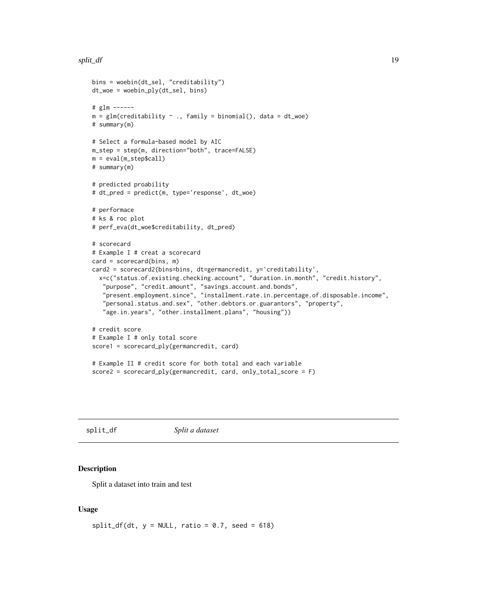#### <span id="page-18-0"></span>split\_df 19

```
bins = woebin(dt_sel, "creditability")
dt_woe = woebin_ply(dt_sel, bins)
# glm ------
m = glm(creditability \sim ., family = binomial(), data = dt_woe)# summary(m)
# Select a formula-based model by AIC
m_step = step(m, direction="both", trace=FALSE)
m = eval(m_step$call)
# summary(m)
# predicted proability
# dt_pred = predict(m, type='response', dt_woe)
# performace
# ks & roc plot
# perf_eva(dt_woe$creditability, dt_pred)
# scorecard
# Example I # creat a scorecard
card = scorecard(bins, m)
card2 = scorecard2(bins=bins, dt=germancredit, y='creditability',
  x=c("status.of.existing.checking.account", "duration.in.month", "credit.history",
   "purpose", "credit.amount", "savings.account.and.bonds",
   "present.employment.since", "installment.rate.in.percentage.of.disposable.income",
   "personal.status.and.sex", "other.debtors.or.guarantors", "property",
   "age.in.years", "other.installment.plans", "housing"))
# credit score
# Example I # only total score
score1 = scorecard_ply(germancredit, card)
# Example II # credit score for both total and each variable
score2 = scorecard_ply(germancredit, card, only_total_score = F)
```
split\_df *Split a dataset*

#### Description

Split a dataset into train and test

#### Usage

 $split_df(dt, y = NULL, ratio = 0.7, seed = 618)$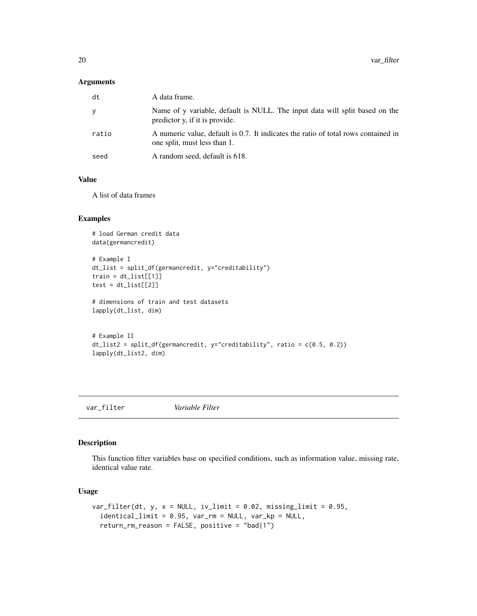#### <span id="page-19-0"></span>Arguments

| dt    | A data frame.                                                                                                      |
|-------|--------------------------------------------------------------------------------------------------------------------|
| У     | Name of y variable, default is NULL. The input data will split based on the<br>predictor y, if it is provide.      |
| ratio | A numeric value, default is 0.7. It indicates the ratio of total rows contained in<br>one split, must less than 1. |
| seed  | A random seed, default is 618.                                                                                     |

## Value

A list of data frames

### Examples

```
# load German credit data
data(germancredit)
# Example I
dt_list = split_df(germancredit, y="creditability")
train = dt\_list[[1]]test = dt\_list[[2]]# dimensions of train and test datasets
lapply(dt_list, dim)
# Example II
dt_list2 = split_df(germancredit, y="creditability", ratio = c(0.5, 0.2))
lapply(dt_list2, dim)
```
var\_filter *Variable Filter*

## Description

This function filter variables base on specified conditions, such as information value, missing rate, identical value rate.

#### Usage

```
var_filter(dt, y, x = NULL, iv_limit = 0.02, missing_limit = 0.95,
  identical_limit = 0.95, var_rm = NULL, var_kp = NULL,
  return_rm_reason = FALSE, positive = "bad|1")
```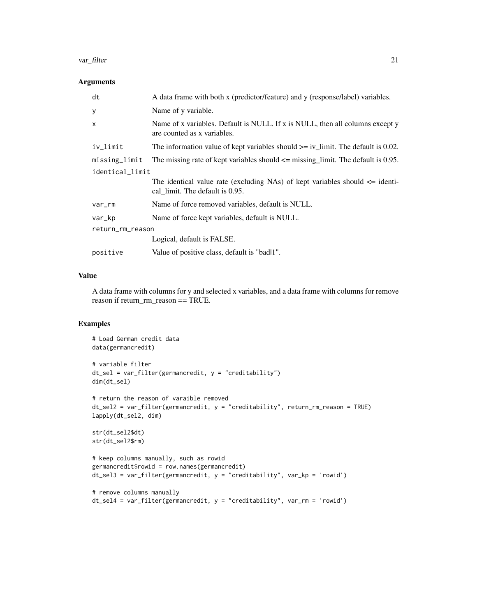#### var\_filter 21

## Arguments

| dt               | A data frame with both x (predictor/feature) and y (response/label) variables.                                      |
|------------------|---------------------------------------------------------------------------------------------------------------------|
| y                | Name of y variable.                                                                                                 |
| X                | Name of x variables. Default is NULL. If x is NULL, then all columns except y<br>are counted as x variables.        |
| iv_limit         | The information value of kept variables should $>=$ iv_limit. The default is 0.02.                                  |
| missing_limit    | The missing rate of kept variables should $\leq$ missing limit. The default is 0.95.                                |
| identical_limit  |                                                                                                                     |
|                  | The identical value rate (excluding NAs) of kept variables should $\leq$ identi-<br>cal limit. The default is 0.95. |
| var_rm           | Name of force removed variables, default is NULL.                                                                   |
| var_kp           | Name of force kept variables, default is NULL.                                                                      |
| return_rm_reason |                                                                                                                     |
|                  | Logical, default is FALSE.                                                                                          |
| positive         | Value of positive class, default is "badl1".                                                                        |

## Value

A data frame with columns for y and selected x variables, and a data frame with columns for remove reason if return\_rm\_reason == TRUE.

```
# Load German credit data
data(germancredit)
# variable filter
dt_sel = var_filter(germancredit, y = "creditability")
dim(dt_sel)
# return the reason of varaible removed
dt_sel2 = var_filter(germancredit, y = "creditability", return_rm_reason = TRUE)
lapply(dt_sel2, dim)
str(dt_sel2$dt)
str(dt_sel2$rm)
# keep columns manually, such as rowid
germancredit$rowid = row.names(germancredit)
dt_sel3 = var_filter(germancredit, y = "creditability", var_kp = 'rowid')
# remove columns manually
dt_sel4 = var_filter(germancredit, y = "creditability", var_rm = 'rowid')
```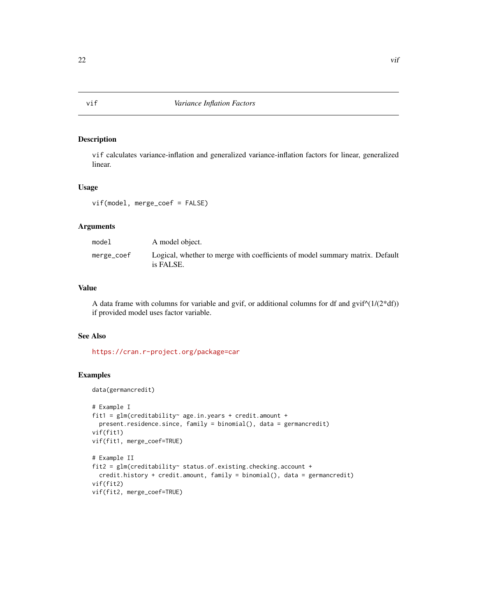#### Description

vif calculates variance-inflation and generalized variance-inflation factors for linear, generalized linear.

## Usage

vif(model, merge\_coef = FALSE)

## Arguments

| model      | A model object.                                                                           |
|------------|-------------------------------------------------------------------------------------------|
| merge_coef | Logical, whether to merge with coefficients of model summary matrix. Default<br>is FALSE. |

## Value

A data frame with columns for variable and gvif, or additional columns for df and  $gvif^{(1)}(2*df)$ ) if provided model uses factor variable.

## See Also

<https://cran.r-project.org/package=car>

## Examples

data(germancredit)

```
# Example I
fit1 = glm(creditability~ age.in.years + credit.amount +
  present.residence.since, family = binomial(), data = germancredit)
vif(fit1)
vif(fit1, merge_coef=TRUE)
# Example II
fit2 = glm(creditability~ status.of.existing.checking.account +
  credit.history + credit.amount, family = binomial(), data = germancredit)
vif(fit2)
vif(fit2, merge_coef=TRUE)
```
<span id="page-21-0"></span>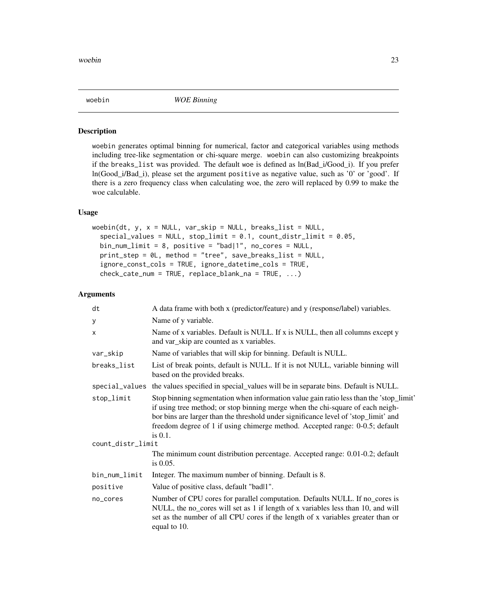<span id="page-22-1"></span><span id="page-22-0"></span>

#### **Description**

woebin generates optimal binning for numerical, factor and categorical variables using methods including tree-like segmentation or chi-square merge. woebin can also customizing breakpoints if the breaks\_list was provided. The default woe is defined as ln(Bad\_i/Good\_i). If you prefer ln(Good\_i/Bad\_i), please set the argument positive as negative value, such as '0' or 'good'. If there is a zero frequency class when calculating woe, the zero will replaced by 0.99 to make the woe calculable.

#### Usage

```
woebin(dt, y, x = NULL, var\_skip = NULL, breaks\_list = NULL,
  special_values = NULL, stop_limit = 0.1, count_distr_limit = 0.05,
  bin_num_limit = 8, positive = "bad|1", no_cores = NULL,
  print_step = 0L, method = "tree", save_breaks_list = NULL,
  ignore_const_cols = TRUE, ignore_datetime_cols = TRUE,
  check_cate_num = TRUE, replace_blank_na = TRUE, ...)
```
#### Arguments

| dt                | A data frame with both x (predictor/feature) and y (response/label) variables.                                                                                                                                                                                                                                                                                |
|-------------------|---------------------------------------------------------------------------------------------------------------------------------------------------------------------------------------------------------------------------------------------------------------------------------------------------------------------------------------------------------------|
| у                 | Name of y variable.                                                                                                                                                                                                                                                                                                                                           |
| X                 | Name of x variables. Default is NULL. If x is NULL, then all columns except $y$<br>and var_skip are counted as x variables.                                                                                                                                                                                                                                   |
| var_skip          | Name of variables that will skip for binning. Default is NULL.                                                                                                                                                                                                                                                                                                |
| breaks_list       | List of break points, default is NULL. If it is not NULL, variable binning will<br>based on the provided breaks.                                                                                                                                                                                                                                              |
| special_values    | the values specified in special_values will be in separate bins. Default is NULL.                                                                                                                                                                                                                                                                             |
| stop_limit        | Stop binning segmentation when information value gain ratio less than the 'stop_limit'<br>if using tree method; or stop binning merge when the chi-square of each neigh-<br>bor bins are larger than the threshold under significance level of 'stop_limit' and<br>freedom degree of 1 if using chimerge method. Accepted range: 0-0.5; default<br>is $0.1$ . |
| count_distr_limit |                                                                                                                                                                                                                                                                                                                                                               |
|                   | The minimum count distribution percentage. Accepted range: 0.01-0.2; default<br>is $0.05$ .                                                                                                                                                                                                                                                                   |
| bin_num_limit     | Integer. The maximum number of binning. Default is 8.                                                                                                                                                                                                                                                                                                         |
| positive          | Value of positive class, default "badl1".                                                                                                                                                                                                                                                                                                                     |
| no_cores          | Number of CPU cores for parallel computation. Defaults NULL. If no_cores is<br>NULL, the no_cores will set as 1 if length of x variables less than 10, and will<br>set as the number of all CPU cores if the length of x variables greater than or<br>equal to 10.                                                                                            |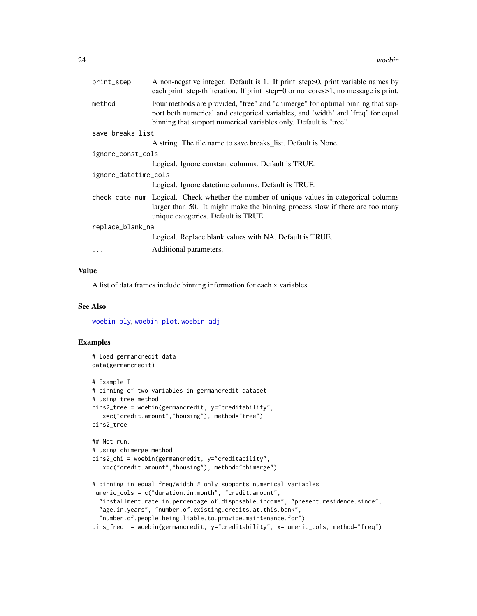<span id="page-23-0"></span>

| A non-negative integer. Default is 1. If print_step>0, print variable names by<br>each print_step-th iteration. If print_step=0 or no_cores>1, no message is print.                                                                    |  |
|----------------------------------------------------------------------------------------------------------------------------------------------------------------------------------------------------------------------------------------|--|
| Four methods are provided, "tree" and "chimerge" for optimal binning that sup-<br>port both numerical and categorical variables, and 'width' and 'freq' for equal<br>binning that support numerical variables only. Default is "tree". |  |
| save_breaks_list                                                                                                                                                                                                                       |  |
| A string. The file name to save breaks list. Default is None.                                                                                                                                                                          |  |
| ignore_const_cols                                                                                                                                                                                                                      |  |
| Logical. Ignore constant columns. Default is TRUE.                                                                                                                                                                                     |  |
| ignore_datetime_cols                                                                                                                                                                                                                   |  |
| Logical. Ignore date time columns. Default is TRUE.                                                                                                                                                                                    |  |
| check_cate_num Logical. Check whether the number of unique values in categorical columns<br>larger than 50. It might make the binning process slow if there are too many<br>unique categories. Default is TRUE.                        |  |
| replace_blank_na                                                                                                                                                                                                                       |  |
| Logical. Replace blank values with NA. Default is TRUE.                                                                                                                                                                                |  |
| Additional parameters.                                                                                                                                                                                                                 |  |
|                                                                                                                                                                                                                                        |  |

## Value

A list of data frames include binning information for each x variables.

#### See Also

[woebin\\_ply](#page-27-1), [woebin\\_plot](#page-26-1), [woebin\\_adj](#page-24-1)

```
# load germancredit data
data(germancredit)
# Example I
# binning of two variables in germancredit dataset
# using tree method
bins2_tree = woebin(germancredit, y="creditability",
   x=c("credit.amount","housing"), method="tree")
bins2_tree
## Not run:
# using chimerge method
bins2_chi = woebin(germancredit, y="creditability",
   x=c("credit.amount","housing"), method="chimerge")
# binning in equal freq/width # only supports numerical variables
numeric_cols = c("duration.in.month", "credit.amount",
  "installment.rate.in.percentage.of.disposable.income", "present.residence.since",
  "age.in.years", "number.of.existing.credits.at.this.bank",
  "number.of.people.being.liable.to.provide.maintenance.for")
bins_freq = woebin(germancredit, y="creditability", x=numeric_cols, method="freq")
```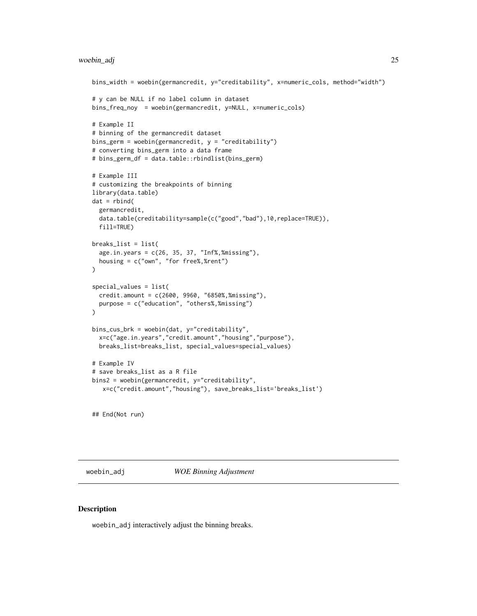#### <span id="page-24-0"></span>woebin\_adj 25

```
bins_width = woebin(germancredit, y="creditability", x=numeric_cols, method="width")
# y can be NULL if no label column in dataset
bins_freq_noy = woebin(germancredit, y=NULL, x=numeric_cols)
# Example II
# binning of the germancredit dataset
bins_germ = woebin(germancredit, y = "creditability")
# converting bins_germ into a data frame
# bins_germ_df = data.table::rbindlist(bins_germ)
# Example III
# customizing the breakpoints of binning
library(data.table)
dat = rbind(germancredit,
  data.table(creditability=sample(c("good","bad"),10,replace=TRUE)),
  fill=TRUE)
breaks_list = list(
  age.in.years = c(26, 35, 37, "Inf%,%missing"),
  housing = c("own", "for free%,%rent")
\mathcal{L}special_values = list(
  credit.amount = c(2600, 9960, "6850%,%missing"),
  purpose = c("education", "others%,%missing")
\mathcal{L}bins_cus_brk = woebin(dat, y="creditability",
  x=c("age.in.years","credit.amount","housing","purpose"),
  breaks_list=breaks_list, special_values=special_values)
# Example IV
# save breaks_list as a R file
bins2 = woebin(germancredit, y="creditability",
   x=c("credit.amount","housing"), save_breaks_list='breaks_list')
```
## End(Not run)

<span id="page-24-1"></span>woebin\_adj *WOE Binning Adjustment*

#### Description

woebin\_adj interactively adjust the binning breaks.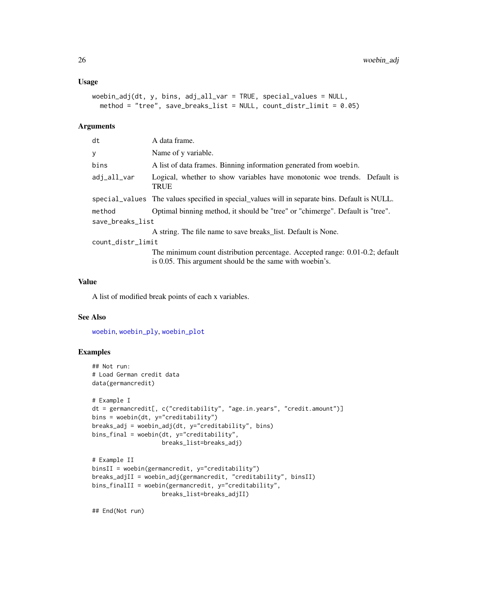#### <span id="page-25-0"></span>Usage

```
woebin\_adj(dt, y, bins, adj\_all\_var = TRUE, special\_values = NULL,method = "tree", save_breaks_list = NULL, count_distr_limit = 0.05)
```
#### Arguments

| dt                | A data frame.                                                                                                                            |
|-------------------|------------------------------------------------------------------------------------------------------------------------------------------|
| y                 | Name of y variable.                                                                                                                      |
| bins              | A list of data frames. Binning information generated from woebin.                                                                        |
| adi_all_var       | Logical, whether to show variables have monotonic woe trends. Default is<br><b>TRUE</b>                                                  |
|                   | special values The values specified in special values will in separate bins. Default is NULL.                                            |
| method            | Optimal binning method, it should be "tree" or "chimerge". Default is "tree".                                                            |
| save_breaks_list  |                                                                                                                                          |
|                   | A string. The file name to save breaks_list. Default is None.                                                                            |
| count_distr_limit |                                                                                                                                          |
|                   | The minimum count distribution percentage. Accepted range: 0.01-0.2; default<br>is 0.05. This argument should be the same with woebin's. |
|                   |                                                                                                                                          |

## Value

A list of modified break points of each x variables.

## See Also

[woebin](#page-22-1), [woebin\\_ply](#page-27-1), [woebin\\_plot](#page-26-1)

## Examples

```
## Not run:
# Load German credit data
data(germancredit)
# Example I
dt = germancredit[, c("creditability", "age.in.years", "credit.amount")]
bins = woebin(dt, y="creditability")
breaks_adj = woebin_adj(dt, y="creditability", bins)
bins_final = woebin(dt, y="creditability",
                    breaks_list=breaks_adj)
# Example II
binsII = woebin(germancredit, y="creditability")
breaks_adjII = woebin_adj(germancredit, "creditability", binsII)
bins_finalII = woebin(germancredit, y="creditability",
                   breaks_list=breaks_adjII)
```
## End(Not run)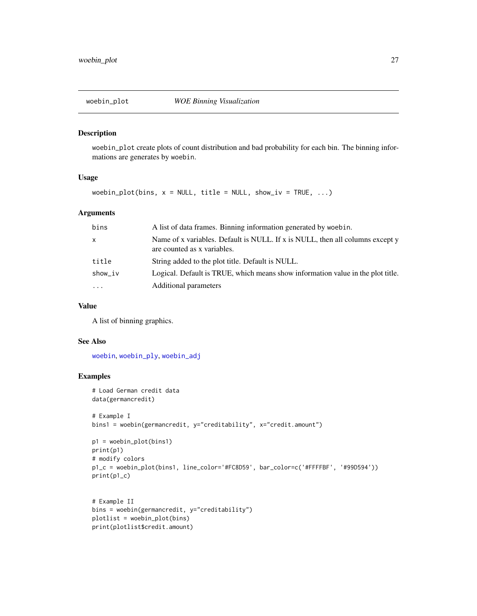<span id="page-26-1"></span><span id="page-26-0"></span>

#### Description

woebin\_plot create plots of count distribution and bad probability for each bin. The binning informations are generates by woebin.

#### Usage

woebin\_plot(bins,  $x = NULL$ , title = NULL, show\_iv = TRUE, ...)

#### Arguments

| bins         | A list of data frames. Binning information generated by woebin.                                              |
|--------------|--------------------------------------------------------------------------------------------------------------|
| $\mathsf{x}$ | Name of x variables. Default is NULL. If x is NULL, then all columns except y<br>are counted as x variables. |
| title        | String added to the plot title. Default is NULL.                                                             |
| show_iv      | Logical. Default is TRUE, which means show information value in the plot title.                              |
| $\cdots$     | Additional parameters                                                                                        |

#### Value

A list of binning graphics.

## See Also

[woebin](#page-22-1), [woebin\\_ply](#page-27-1), [woebin\\_adj](#page-24-1)

```
# Load German credit data
data(germancredit)
# Example I
bins1 = woebin(germancredit, y="creditability", x="credit.amount")
p1 = woebin_plot(bins1)
print(p1)
```

```
# modify colors
p1_c = woebin_plot(bins1, line_color='#FC8D59', bar_color=c('#FFFFBF', '#99D594'))
print(p1_c)
```

```
# Example II
bins = woebin(germancredit, y="creditability")
plotlist = woebin_plot(bins)
print(plotlist$credit.amount)
```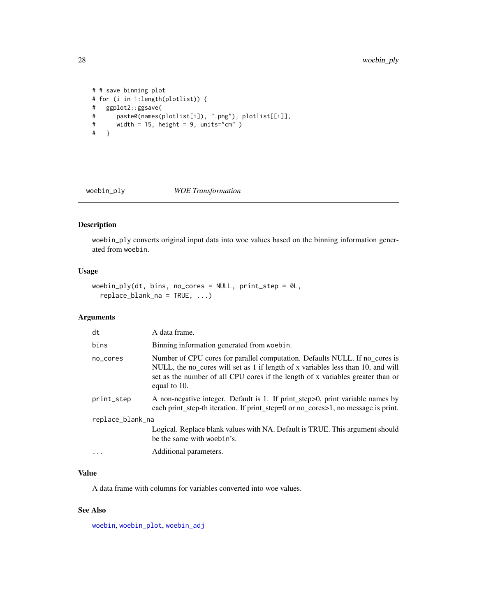```
# # save binning plot
# for (i in 1:length(plotlist)) {
# ggplot2::ggsave(
# paste0(names(plotlist[i]), ".png"), plotlist[[i]],
# width = 15, height = 9, units="cm" )<br># }
   # }
```
<span id="page-27-1"></span>

woebin\_ply *WOE Transformation*

## Description

woebin\_ply converts original input data into woe values based on the binning information generated from woebin.

## Usage

```
woebin_ply(dt, bins, no_cores = NULL, print_step = 0L,
  replace_blank_na = TRUE, ...)
```
## Arguments

| dt               | A data frame.                                                                                                                                                                                                                                                      |
|------------------|--------------------------------------------------------------------------------------------------------------------------------------------------------------------------------------------------------------------------------------------------------------------|
| bins             | Binning information generated from woebin.                                                                                                                                                                                                                         |
| no_cores         | Number of CPU cores for parallel computation. Defaults NULL. If no_cores is<br>NULL, the no_cores will set as 1 if length of x variables less than 10, and will<br>set as the number of all CPU cores if the length of x variables greater than or<br>equal to 10. |
| print_step       | A non-negative integer. Default is 1. If print_step>0, print variable names by<br>each print_step-th iteration. If print_step=0 or no_cores>1, no message is print.                                                                                                |
| replace_blank_na |                                                                                                                                                                                                                                                                    |
|                  | Logical. Replace blank values with NA. Default is TRUE. This argument should<br>be the same with woebin's.                                                                                                                                                         |
|                  | Additional parameters.                                                                                                                                                                                                                                             |

### Value

A data frame with columns for variables converted into woe values.

#### See Also

[woebin](#page-22-1), [woebin\\_plot](#page-26-1), [woebin\\_adj](#page-24-1)

<span id="page-27-0"></span>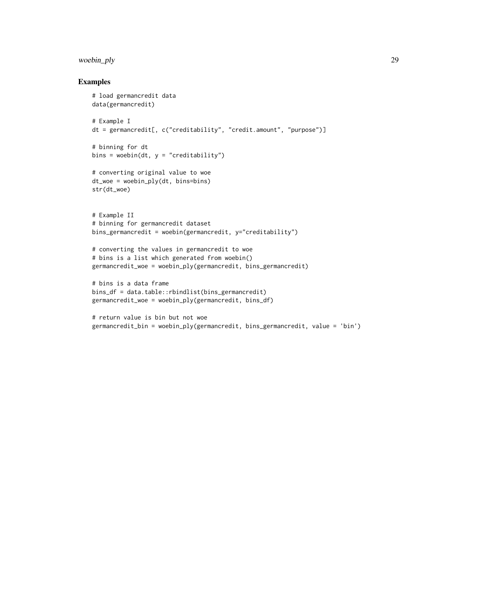## woebin\_ply 29

```
# load germancredit data
data(germancredit)
# Example I
dt = germancredit[, c("creditability", "credit.amount", "purpose")]
# binning for dt
bins = woebin(dt, y = "creditability")
# converting original value to woe
dt_woe = woebin_ply(dt, bins=bins)
str(dt_woe)
# Example II
# binning for germancredit dataset
bins_germancredit = woebin(germancredit, y="creditability")
# converting the values in germancredit to woe
# bins is a list which generated from woebin()
germancredit_woe = woebin_ply(germancredit, bins_germancredit)
# bins is a data frame
bins_df = data.table::rbindlist(bins_germancredit)
germancredit_woe = woebin_ply(germancredit, bins_df)
```

```
# return value is bin but not woe
germancredit_bin = woebin_ply(germancredit, bins_germancredit, value = 'bin')
```